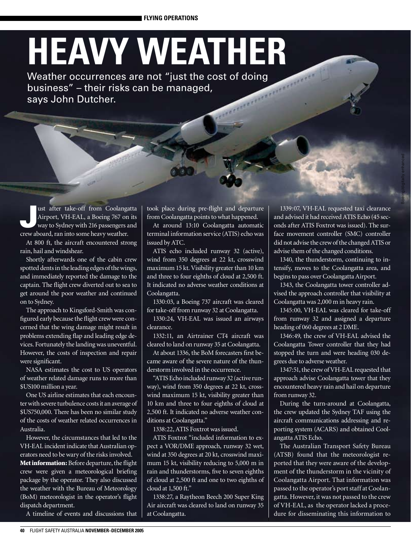## **HEAVY WEATHER**

Weather occurrences are not "just the cost of doing business" – their risks can be managed, says John Dutcher.

ust after take-off from Coolangatta<br>Airport, VH-EAL, a Boeing 767 on its<br>way to Sydney with 216 passengers and Airport, VH-EAL, a Boeing 767 on its way to Sydney with 216 passengers and crew aboard, ran into some heavy weather.

At 800 ft, the aircraft encountered strong rain, hail and windshear.

Shortly afterwards one of the cabin crew spotted dents in the leading edges of the wings, and immediately reported the damage to the captain. The flight crew diverted out to sea to get around the poor weather and continued on to Sydney.

The approach to Kingsford-Smith was configured early because the flight crew were concerned that the wing damage might result in problems extending flap and leading edge devices. Fortunately the landing was uneventful. However, the costs of inspection and repair were significant.

NASA estimates the cost to US operators of weather related damage runs to more than \$US100 million a year.

One US airline estimates that each encounter with severe turbulence costs it an average of \$US750,000. There has been no similar study of the costs of weather related occurrences in Australia.

However, the circumstances that led to the VH-EAL incident indicate that Australian operators need to be wary of the risks involved. Met information: Before departure, the flight crew were given a meteorological briefing package by the operator. They also discussed the weather with the Bureau of Meteorology (BoM) meteorologist in the operator's flight dispatch department.

A timeline of events and discussions that

took place during pre-flight and departure from Coolangatta points to what happened.

At around 13:10 Coolangatta automatic terminal information service (ATIS) echo was issued by ATC.

ATIS echo included runway 32 (active), wind from 350 degrees at 22 kt, crosswind maximum 15 kt. Visibility greater than 10 km and three to four eighths of cloud at 2,500 ft. It indicated no adverse weather conditions at Coolangatta.

1330:03, a Boeing 737 aircraft was cleared for take-off from runway 32 at Coolangatta.

1330:24, VH-EAL was issued an airways clearance.

1332:11, an Airtrainer CT4 aircraft was cleared to land on runway 35 at Coolangatta.

At about 1336, the BoM forecasters first became aware of the severe nature of the thunderstorm involved in the occurrence.

"ATIS Echo included runway 32 (active runway), wind from 350 degrees at 22 kt, crosswind maximum 15 kt, visibility greater than 10 km and three to four eighths of cloud at 2,500 ft. It indicated no adverse weather conditions at Coolangatta."

1338:22, ATIS Foxtrot was issued.

ATIS Foxtrot "included information to expect a VOR/DME approach, runway 32 wet, wind at 350 degrees at 20 kt, crosswind maximum 15 kt, visibility reducing to 5,000 m in rain and thunderstorms, five to seven eighths of cloud at 2,500 ft and one to two eighths of cloud at 1,500 ft."

1338:27, a Raytheon Beech 200 Super King Air aircraft was cleared to land on runway 35 at Coolangatta.

1339:07, VH-EAL requested taxi clearance and advised it had received ATIS Echo (45 seconds after ATIS Foxtrot was issued). The surface movement controller (SMC) controller did not advise the crew of the changed ATIS or advise them of the changed conditions.

Boeing/digitally enhanced

1340, the thunderstorm, continuing to intensify, moves to the Coolangatta area, and begins to pass over Coolangatta Airport.

1343, the Coolangatta tower controller advised the approach controller that visibility at Coolangatta was 2,000 m in heavy rain.

1345:00, VH-EAL was cleared for take-off from runway 32 and assigned a departure heading of 060 degrees at 2 DME.

1346:49, the crew of VH-EAL advised the Coolangatta Tower controller that they had stopped the turn and were heading 030 degrees due to adverse weather.

1347:51, the crew of VH-EAL requested that approach advise Coolangatta tower that they encountered heavy rain and hail on departure from runway 32.

During the turn-around at Coolangatta, the crew updated the Sydney TAF using the aircraft communications addressing and reporting system (ACARS) and obtained Coolangatta ATIS Echo.

The Australian Transport Safety Bureau (ATSB) found that the meteorologist reported that they were aware of the development of the thunderstorm in the vicinity of Coolangatta Airport. That information was passed to the operator's port staff at Coolangatta. However, it was not passed to the crew of VH-EAL, as the operator lacked a procedure for disseminating this information to